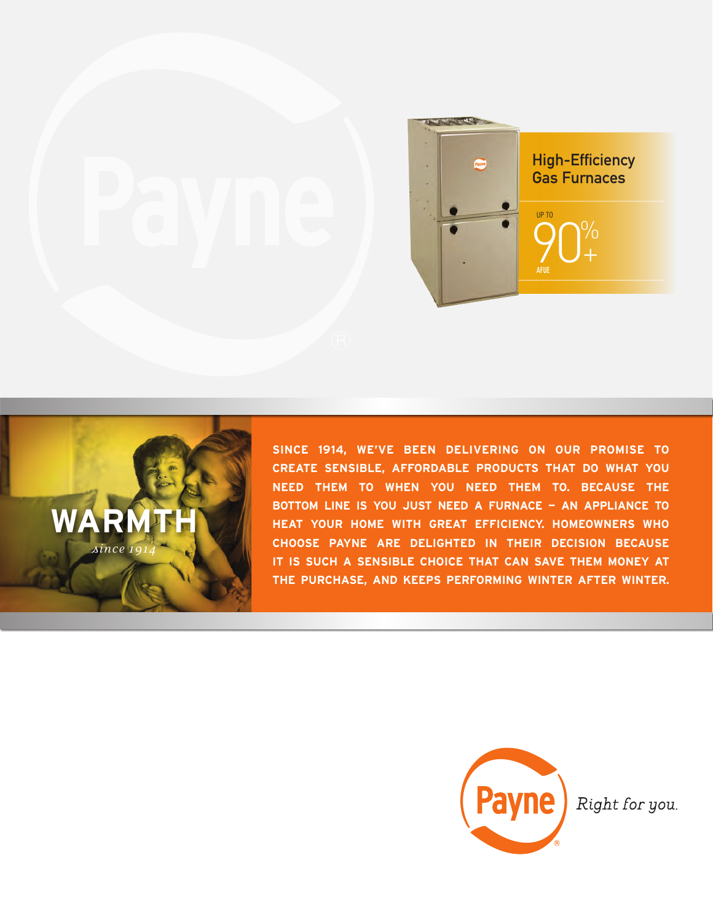



**SINCE 1914, WE'VE BEEN DELIVERING ON OUR PROMISE TO CREATE SENSIBLE, AFFORDABLE PRODUCTS THAT DO WHAT YOU NEED THEM TO WHEN YOU NEED THEM TO. BECAUSE THE BOTTOM LINE IS YOU JUST NEED A FURNACE — AN APPLIANCE TO HEAT YOUR HOME WITH GREAT EFFICIENCY. HOMEOWNERS WHO CHOOSE PAYNE ARE DELIGHTED IN THEIR DECISION BECAUSE IT IS SUCH A SENSIBLE CHOICE THAT CAN SAVE THEM MONEY AT THE PURCHASE, AND KEEPS PERFORMING WINTER AFTER WINTER.**



Right for you.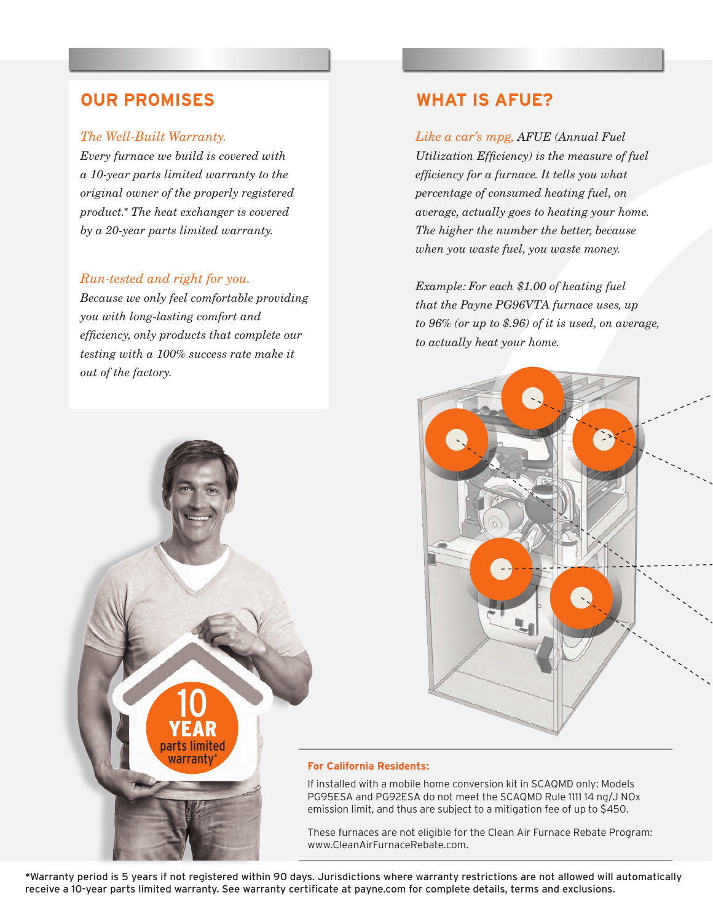### *The Well-Built Warranty.*

*Every furnace we build is covered with a 10-year parts limited warranty to the original owner of the properly registered product.*\* *The heat exchanger is covered by a 20-year parts limited warranty.*

## *Run-tested and right for you.*

*Because we only feel comfortable providing you with long-lasting comfort and efficiency, only products that complete our testing with a 100% success rate make it out of the factory.* 

10

YEAR parts limited warrant

## **OUR PROMISES WHAT IS AFUE?**

*Like a car's mpg, AFUE (Annual Fuel Utilization Efficiency) is the measure of fuel efficiency for a furnace. It tells you what percentage of consumed heating fuel, on average, actually goes to heating your home. The higher the number the better, because when you waste fuel, you waste money.*

*Example: For each \$1.00 of heating fuel that the Payne PG96VTA furnace uses, up to 96% (or up to \$.96) of it is used, on average, to actually heat your home.*



### **For California Residents:**

If installed with a mobile home conversion kit in SCAQMD only: Models PG95ESA and PG92ESA do not meet the SCAQMD Rule 1111 14 ng/J NOx emission limit, and thus are subject to a mitigation fee of up to \$450.

These furnaces are not eligible for the Clean Air Furnace Rebate Program: www.CleanAirFurnaceRebate.com.

\*Warranty period is 5 years if not registered within 90 days. Jurisdictions where warranty restrictions are not allowed will automatically receive a 10-year parts limited warranty. See warranty certificate at payne.com for complete details, terms and exclusions.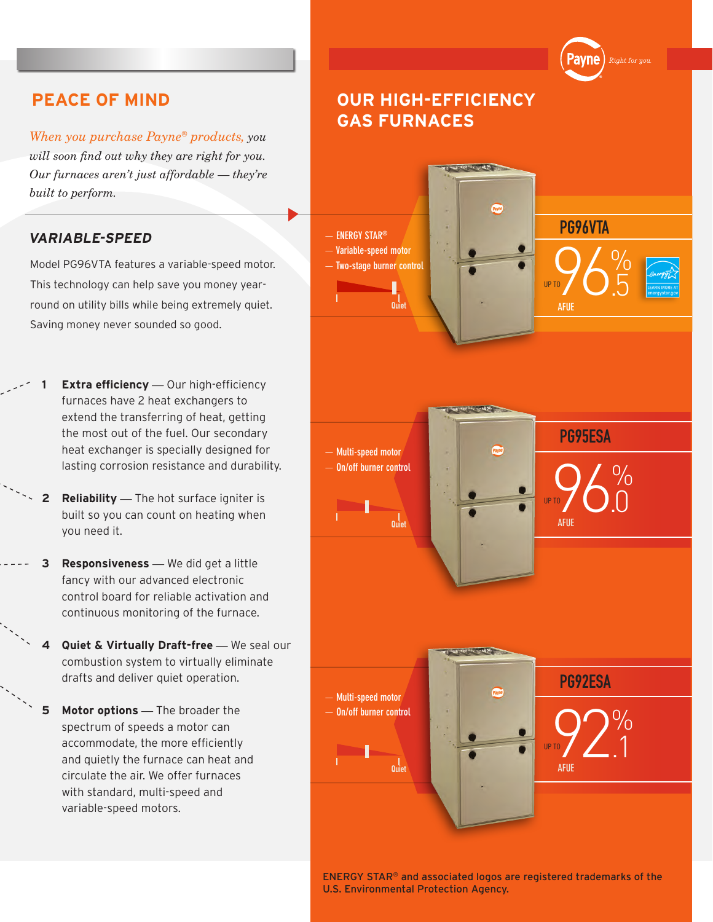*When you purchase Payne® products, you will soon find out why they are right for you. Our furnaces aren't just affordable — they're built to perform.*

## **VARIABLE-SPEED**

Model PG96VTA features a variable-speed motor. This technology can help save you money yearround on utility bills while being extremely quiet. Saving money never sounded so good.

- **Extra efficiency** Our high-efficiency furnaces have 2 heat exchangers to extend the transferring of heat, getting the most out of the fuel. Our secondary heat exchanger is specially designed for lasting corrosion resistance and durability.
- **2 Reliability** *—* The hot surface igniter is built so you can count on heating when you need it.
- **3 Responsiveness** *—* We did get a little fancy with our advanced electronic control board for reliable activation and continuous monitoring of the furnace.
- **Quiet & Virtually Draft-free** We seal our combustion system to virtually eliminate drafts and deliver quiet operation.
- **5 Motor options** *—* The broader the spectrum of speeds a motor can accommodate, the more efficiently and quietly the furnace can heat and circulate the air. We offer furnaces with standard, multi-speed and variable-speed motors.

# **PEACE OF MIND OUR HIGH-EFFICIENCY GAS FURNACES**

'avne

Right for you



ENERGY STAR® and associated logos are registered trademarks of the U.S. Environmental Protection Agency.